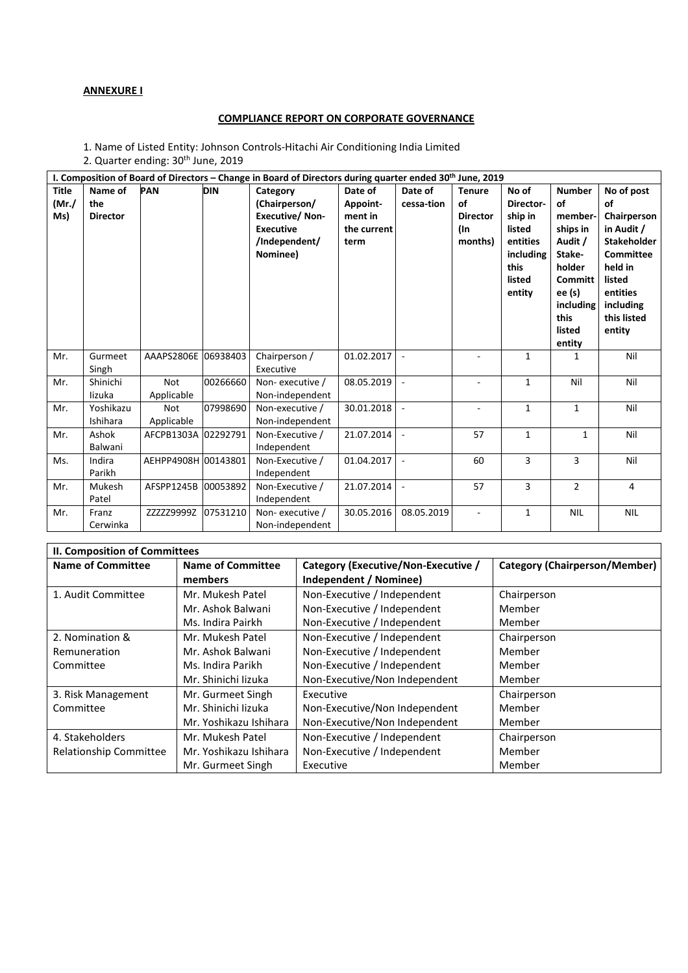## **ANNEXURE I**

## **COMPLIANCE REPORT ON CORPORATE GOVERNANCE**

1. Name of Listed Entity: Johnson Controls-Hitachi Air Conditioning India Limited 2. Quarter ending: 30<sup>th</sup> June, 2019

| I. Composition of Board of Directors - Change in Board of Directors during quarter ended 30th June, 2019 |                                   |                          |            |                                                                                                     |                                                       |                          |                                                          |                                                                                              |                                                                                                                                         |                                                                                                                                                                |
|----------------------------------------------------------------------------------------------------------|-----------------------------------|--------------------------|------------|-----------------------------------------------------------------------------------------------------|-------------------------------------------------------|--------------------------|----------------------------------------------------------|----------------------------------------------------------------------------------------------|-----------------------------------------------------------------------------------------------------------------------------------------|----------------------------------------------------------------------------------------------------------------------------------------------------------------|
| <b>Title</b><br>(Mr./<br>Ms)                                                                             | Name of<br>the<br><b>Director</b> | <b>PAN</b>               | <b>DIN</b> | Category<br>(Chairperson/<br><b>Executive/Non-</b><br><b>Executive</b><br>/Independent/<br>Nominee) | Date of<br>Appoint-<br>ment in<br>the current<br>term | Date of<br>cessa-tion    | <b>Tenure</b><br>of<br><b>Director</b><br>(In<br>months) | No of<br>Director-<br>ship in<br>listed<br>entities<br>including<br>this<br>listed<br>entity | <b>Number</b><br>of<br>member-<br>ships in<br>Audit /<br>Stake-<br>holder<br>Committ<br>ee (s)<br>including<br>this<br>listed<br>entity | No of post<br>οf<br>Chairperson<br>in Audit /<br><b>Stakeholder</b><br><b>Committee</b><br>held in<br>listed<br>entities<br>including<br>this listed<br>entity |
| Mr.                                                                                                      | Gurmeet<br>Singh                  | AAAPS2806E 06938403      |            | Chairperson /<br>Executive                                                                          | 01.02.2017                                            | $\overline{\phantom{a}}$ |                                                          | $\mathbf{1}$                                                                                 | $\mathbf{1}$                                                                                                                            | Nil                                                                                                                                                            |
| Mr.                                                                                                      | Shinichi<br>lizuka                | <b>Not</b><br>Applicable | 00266660   | Non-executive /<br>Non-independent                                                                  | 08.05.2019                                            | $\sim$                   |                                                          | 1                                                                                            | Nil                                                                                                                                     | Nil                                                                                                                                                            |
| Mr.                                                                                                      | Yoshikazu<br>Ishihara             | <b>Not</b><br>Applicable | 07998690   | Non-executive /<br>Non-independent                                                                  | 30.01.2018                                            |                          | $\overline{\phantom{a}}$                                 | $\mathbf{1}$                                                                                 | $\mathbf{1}$                                                                                                                            | Nil                                                                                                                                                            |
| Mr.                                                                                                      | Ashok<br>Balwani                  | AFCPB1303A 02292791      |            | Non-Executive /<br>Independent                                                                      | 21.07.2014                                            |                          | 57                                                       | $\mathbf{1}$                                                                                 | $\mathbf{1}$                                                                                                                            | Nil                                                                                                                                                            |
| Ms.                                                                                                      | Indira<br>Parikh                  | AEHPP4908H 00143801      |            | Non-Executive /<br>Independent                                                                      | 01.04.2017                                            | $\blacksquare$           | 60                                                       | 3                                                                                            | 3                                                                                                                                       | Nil                                                                                                                                                            |
| Mr.                                                                                                      | Mukesh<br>Patel                   | AFSPP1245B 00053892      |            | Non-Executive /<br>Independent                                                                      | 21.07.2014                                            |                          | 57                                                       | 3                                                                                            | $\overline{2}$                                                                                                                          | $\overline{4}$                                                                                                                                                 |
| Mr.                                                                                                      | Franz<br>Cerwinka                 | ZZZZZ9999Z               | 07531210   | Non-executive /<br>Non-independent                                                                  | 30.05.2016                                            | 08.05.2019               | $\overline{a}$                                           | 1                                                                                            | <b>NIL</b>                                                                                                                              | <b>NIL</b>                                                                                                                                                     |

| <b>II. Composition of Committees</b> |                        |                                     |                                      |  |  |
|--------------------------------------|------------------------|-------------------------------------|--------------------------------------|--|--|
| <b>Name of Committee</b>             | Name of Committee      | Category (Executive/Non-Executive / | <b>Category (Chairperson/Member)</b> |  |  |
|                                      | members                | <b>Independent / Nominee)</b>       |                                      |  |  |
| 1. Audit Committee                   | Mr. Mukesh Patel       | Non-Executive / Independent         | Chairperson                          |  |  |
|                                      | Mr. Ashok Balwani      | Non-Executive / Independent         | Member                               |  |  |
|                                      | Ms. Indira Pairkh      | Non-Executive / Independent         | Member                               |  |  |
| 2. Nomination &                      | Mr. Mukesh Patel       | Non-Executive / Independent         | Chairperson                          |  |  |
| Remuneration                         | Mr. Ashok Balwani      | Non-Executive / Independent         | Member                               |  |  |
| Committee                            | Ms. Indira Parikh      | Non-Executive / Independent         | Member                               |  |  |
|                                      | Mr. Shinichi lizuka    | Non-Executive/Non Independent       | Member                               |  |  |
| 3. Risk Management                   | Mr. Gurmeet Singh      | Executive                           | Chairperson                          |  |  |
| Committee                            | Mr. Shinichi lizuka    | Non-Executive/Non Independent       | Member                               |  |  |
|                                      | Mr. Yoshikazu Ishihara | Non-Executive/Non Independent       | Member                               |  |  |
| 4. Stakeholders                      | Mr. Mukesh Patel       | Non-Executive / Independent         | Chairperson                          |  |  |
| Relationship Committee               | Mr. Yoshikazu Ishihara | Non-Executive / Independent         | Member                               |  |  |
|                                      | Mr. Gurmeet Singh      | Executive                           | Member                               |  |  |